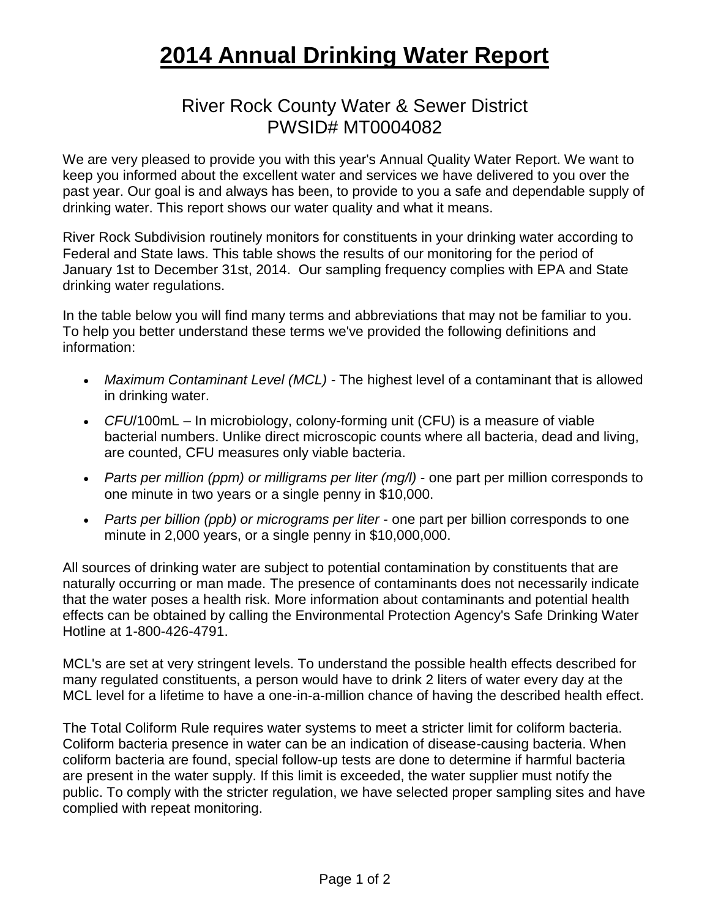## **2014 Annual Drinking Water Report**

## River Rock County Water & Sewer District PWSID# MT0004082

We are very pleased to provide you with this year's Annual Quality Water Report. We want to keep you informed about the excellent water and services we have delivered to you over the past year. Our goal is and always has been, to provide to you a safe and dependable supply of drinking water. This report shows our water quality and what it means.

River Rock Subdivision routinely monitors for constituents in your drinking water according to Federal and State laws. This table shows the results of our monitoring for the period of January 1st to December 31st, 2014. Our sampling frequency complies with EPA and State drinking water regulations.

In the table below you will find many terms and abbreviations that may not be familiar to you. To help you better understand these terms we've provided the following definitions and information:

- *Maximum Contaminant Level (MCL) -* The highest level of a contaminant that is allowed in drinking water.
- *CFU*/100mL In microbiology, colony-forming unit (CFU) is a measure of viable bacterial numbers. Unlike direct microscopic counts where all bacteria, dead and living, are counted, CFU measures only viable bacteria.
- *Parts per million (ppm) or milligrams per liter (mg/l)* one part per million corresponds to one minute in two years or a single penny in \$10,000.
- *Parts per billion (ppb) or micrograms per liter* one part per billion corresponds to one minute in 2,000 years, or a single penny in \$10,000,000.

All sources of drinking water are subject to potential contamination by constituents that are naturally occurring or man made. The presence of contaminants does not necessarily indicate that the water poses a health risk. More information about contaminants and potential health effects can be obtained by calling the Environmental Protection Agency's Safe Drinking Water Hotline at 1-800-426-4791.

MCL's are set at very stringent levels. To understand the possible health effects described for many regulated constituents, a person would have to drink 2 liters of water every day at the MCL level for a lifetime to have a one-in-a-million chance of having the described health effect.

The Total Coliform Rule requires water systems to meet a stricter limit for coliform bacteria. Coliform bacteria presence in water can be an indication of disease-causing bacteria. When coliform bacteria are found, special follow-up tests are done to determine if harmful bacteria are present in the water supply. If this limit is exceeded, the water supplier must notify the public. To comply with the stricter regulation, we have selected proper sampling sites and have complied with repeat monitoring.